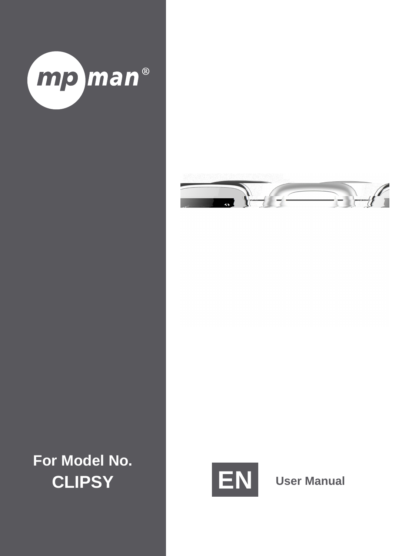# <span id="page-0-0"></span>1. Contents

| 1.               |  |
|------------------|--|
| $\overline{2}$ . |  |
| 3.               |  |
| 4.               |  |
| 5.               |  |
| 6.               |  |
| $\overline{7}$ . |  |
| 8.               |  |
| 9.               |  |
| 10.              |  |
| 11.              |  |
| 12.              |  |
| 13.              |  |
| 14.              |  |
|                  |  |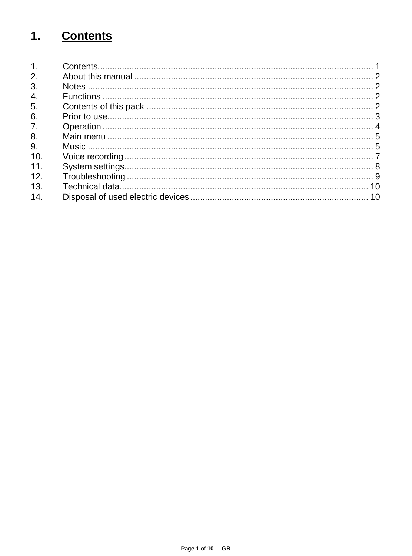# <span id="page-1-0"></span>**2. About this manual**

Read this manual carefully and observe, read and follow all instructions mentioned in this to ensure the long life and reliable use of the device. Please keep this manual handy for future reference and pass it on to other users of the device.

## <span id="page-1-1"></span>**3. Notes**

Prevent the device from dropping.

Do not use the device in extremely cold, hot , humid or dusty areas. Do not expose it to direct sunlight.

Back up your device regularly to avoid possible data loss.

Avoid using your player in strongly magnetic fields.

Protect the device from moisture. Should moisture seep into the device, please switch it off immediately and clean and dry the device afterwards.

Do not use any chemical solutions to clean the device. Use a dry cloth only.

We are not liable for damages or data loss caused by malfunctions, incorrect operation, repairs done by you or changing of the battery.

Please do not disassemble the device into components and do not try to repair it yourself as the warranty expires in this case.



**WARNING**: Prolonged exposure to excessively loud music can result in temporary or permanent hearing damage or hearing loss. The use of the Video player in traffic is not recommended. It can cause the listener to react disregardful towards potential hazards such as approaching vehicles.

# <span id="page-1-2"></span>**4. Functions**

Playback of MP3, WMA files Folder navigation Speech recording Built-in re-chargeable Li-polymer battery

## <span id="page-1-3"></span>**5. Contents of this pack**

MP3-Player Stereo headphones USB cable User manual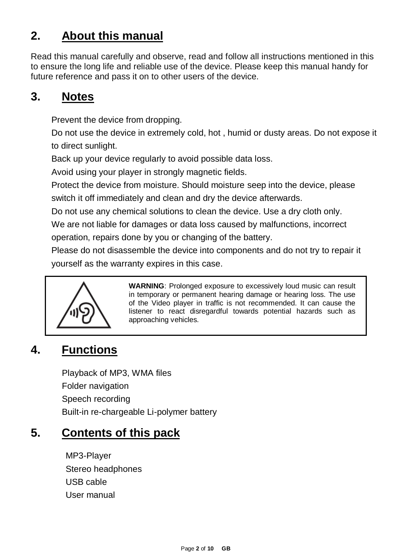## <span id="page-2-0"></span>**6. Prior to use**

#### **Connect to the PC**

Please proceed as follows:

- (1) Connect the player with the USB-port of the PC
- (2) The window "CLIPSY" opens. Now you can store the data from your hard disk on the player.

#### **Safe removal from PC**

For Windows XP/Vista/Windows7/8/8.1/10:

Click with the right mouse button bottom right in the task bar onto the symbol "safe removal of hardware". Select "remove USB flash drive" with the left mouse button from the appearing context menu. Please ensure that the data transfer has been finished completely.

Now you can remove the device.

#### **Charging the battery:**

The device has a built-in re-chargeable Li-polymer battery. The battery is charged via the USB connection to your PC. Before using the device for the first time, please make sure that the battery is fully charged. This usually takes about 3 hours.

**Note:** for optimum performance, the re-chargeable Li-polymer battery must be used regularly. If this is not the case, fully charge the battery at least once per month.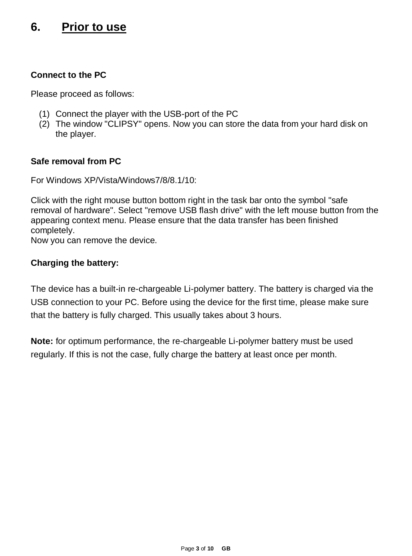

## <span id="page-3-0"></span>**7. Operation**

#### **On / Off**

Keep the Play/Pause key pressed for approx. 3 seconds to switch on the player. To switch it off, press the key again for approx. 3 seconds.

#### **Play / Pause**

Press the button for playback or stopping of a track.

#### **Adjust volume**

Keep the back / volume key  $\Rightarrow$ / $\Rightarrow$  pressed to open the volume selection menu. Now with the keys you can adjust the desired volume. Because of legal provisions, you have to press the menu key to change from level 18 to 19 to continue to increase the volume with the key.

#### **Forward / Back**

Press the / button to go to the previous or to the next track.

**Fast forward**<br>Press and hold down the hutton to fast forward within the track

**Rewind**<br>Press and hold down the button to rewind within the track

#### **Key lock**

By confirming the sliding key on the side of the appliance you can activate or deactivate the button lock according to the selected position.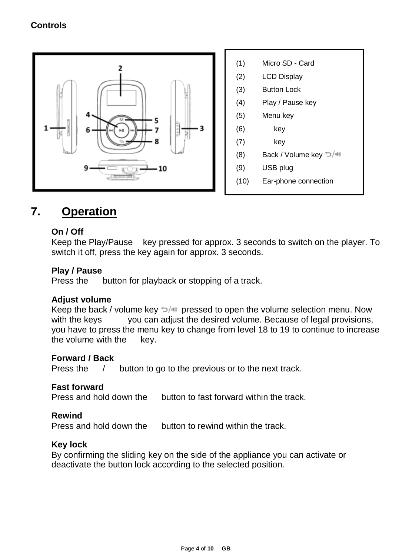# <span id="page-4-0"></span>**8. Main menu**

After having switched on the MP3 player the main menu is displayed. Here you can select the functions music, registration, display and setup.

To select the function press the keys  $/$  and confirm your selection by the key

## <span id="page-4-1"></span>**9. Music**

Select **Music** from the main menu. Now you can playback the stored tracks.

### **Call folder navigation**

- (1) In the music mode press the **menu** key in Pause status.
- (2) Then select the point List in the submenu.
- (3) Now all titles of the currently displayed folders are displayed for you.
- (4) To eventually reach a higher level in your folder structure, press the Back key.
- (5) With the keys / select the searched title and confirm your selection by pressing key to start playback.

### **Delete track**

To delete a single track do the following:

- (1) In music mode, press the **menu** key in pause status.
- (2) Select Delete File.
- (3) All music files of the list of a displayed song are displayed for you (if you want to delete the title in another list, you have to change to the desired list through the folder navigation).
- (4) With the keys / select the searched title and confirm your selection by pressing key .
- (5) Now you are asked to confirm the deletion process.
- (6) Press keys / to select yes or no. Confirm your selection with key . Press **back** key once to delete selection and make a new selection or twice to change back to playback mode.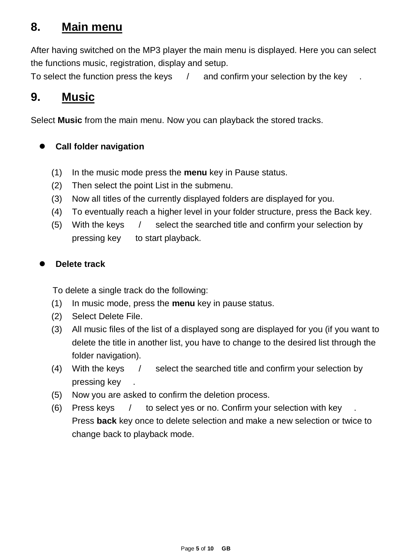#### **Delete all music files**

To delete all music files (MP3 and WMA) on the memory card, proceed as described. Please select **Delete all music files** instead of **Delete File** and confirm your selection. Now all MP3 and WMA files are deleted from the memory card. Other file and folder types cannot be deleted by the player. For this purpose, use your computer.

### **A-B Repeat**

To repeat a special section of a title, proceed as follows:

- (1) During playback press the key **menu** and select submenu A-B repetition.
- (2) Now you can start the A-B repetition (A-B repetition) or interrupt the number of desired repetitions (repeat number) and the desired pause duration between repetitions (pause between repet.).
- (3) If by selection A-B repetition you have started the procedure, you will go back to the playback mode and symbol A flashes for A-B repetition mode. By press key you set the starting point and by re-pressing the same key the end point of the A-B repetition.
- (4) Now the section between the selected start and end point will be repeated according to the selected number.
- (5) To end the A-B repetition earlier, press the key **menu.**

### **Exit music mode**

Press **back** key in playback mode to change to main menu.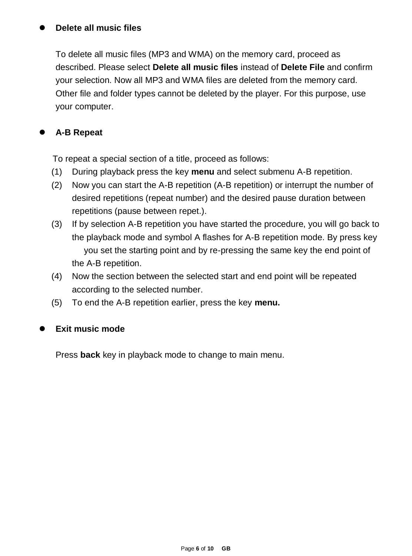## <span id="page-6-0"></span>**10. Voice recording**

In the main menu select the function **record.**

## **Record**

- (1) Press the button to start recording.
- (2) During recording you can stop and/or resume the recording by pressing the button.
- (3) Press the **back** button to stop and save the recording. Recording is saved as .wav file.
- (4) Press the **menu** key before starting recording. So you can navigate through the existing recordings (list) and set up the recording quality (quality).

**Attention:** Do not switch off the device during recording. The recording will not be saved and is lost.

## **Playback**

By the function **playback** in the main menu the playback mode is opened for saved registrations. Playback your recordings like you playback music. Here you can also navigate through the list of your recordings, delete a single file or all voice files by pressing key **menu** before the playback start to reach the submenu.

**Attention: If you are all the voice** voice memory card.

## **Exit the function record**

Press the **back** button to go to the main menu.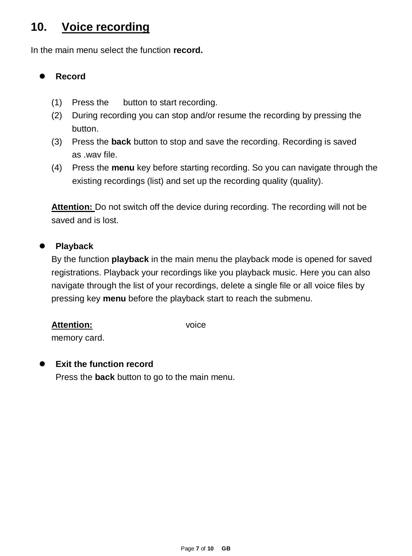## <span id="page-7-0"></span>**11. System settings**

To set your MP3 player individually do the following:

- (1) In the main manu, selection the function **Setup**.
- (2) Press keys / to select the desired setting (see table). Confirm your selection with key . Press **back** key to go back to main menu.

| <b>Function</b>           |                         | Selection Opportunities (description)            |  |
|---------------------------|-------------------------|--------------------------------------------------|--|
|                           |                         | 0-60 seconds in 3 seconds steps                  |  |
| <b>LCD On/Off</b>         |                         | Define after how many seconds without entry      |  |
|                           |                         | the display has to be switched off. By selecting |  |
|                           |                         | 0, you deactivate the function.                  |  |
|                           |                         | French, German, Italian, Dutch,                  |  |
| Language                  |                         | English, Spanish                                 |  |
|                           |                         | Adjust the desired system language here.         |  |
|                           | Auto Off<br>Sleep-Timer | 0-60 minutes in 5 minutes steps                  |  |
|                           |                         | Define after how many minutes without use the    |  |
|                           |                         | player has to be automatically switched off. By  |  |
| Save                      |                         | selecting 0, you deactivate the function.        |  |
| energy                    |                         | 0-120 minutes in 10 minutes steps                |  |
|                           |                         | Define after how much time the player has to be  |  |
|                           |                         | switched off also during active playback. By     |  |
|                           |                         | selecting 0, you deactivate the function.        |  |
| <b>Brightness</b>         |                         | $0 - 15$                                         |  |
|                           |                         | Set the desired brightness level of the display. |  |
| <b>Firmware Version</b>   |                         | The version number of the Firmware is            |  |
|                           |                         | displayed.                                       |  |
| <b>Memory Information</b> |                         | The memory location status of the inserted       |  |
|                           |                         | memory card is displayed.                        |  |
| <b>Factory Settings</b>   |                         |                                                  |  |
|                           |                         | settings.                                        |  |
| <b>Back</b>               |                         | Here you can change back to the main menu.       |  |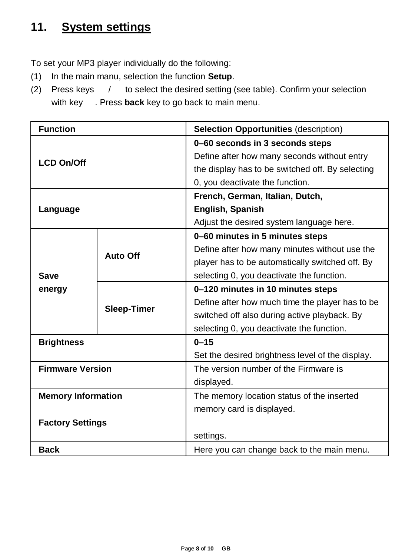## <span id="page-8-0"></span>**12. Troubleshooting**

#### **The display is blank.**

- (1) The battery is empty. Charge the battery.
- (2) The keys are locked. Please deactivate the key lock.

#### **No sound during playback of a file.**

- (1) The volume is too low. Increase the volume.
- (2) The audio file is defective. Please transfer the file again.

### **No connection can be established with the PC.**

- (1) The driver was not installed properly. Re-install the driver.
- (2) Please carry out a main board update. (Please refer to the manufacturer`s instructions)

#### **The track time displayed keeps on changing.**

(1) The bit rate of the MP3 file changes during playback. Please use a universal bit rate for compression.

#### **The PC shows an error on connection with the player.**

(1) The player was disconnected during data transfer from the PC. Never disconnect the player during data transfer.

#### **MP3 data is not played properly.**

(1) The MP3 data was compressed in a wrong format, e.g. in MPEG 1 or 2. Delete the file formats that are not supported.